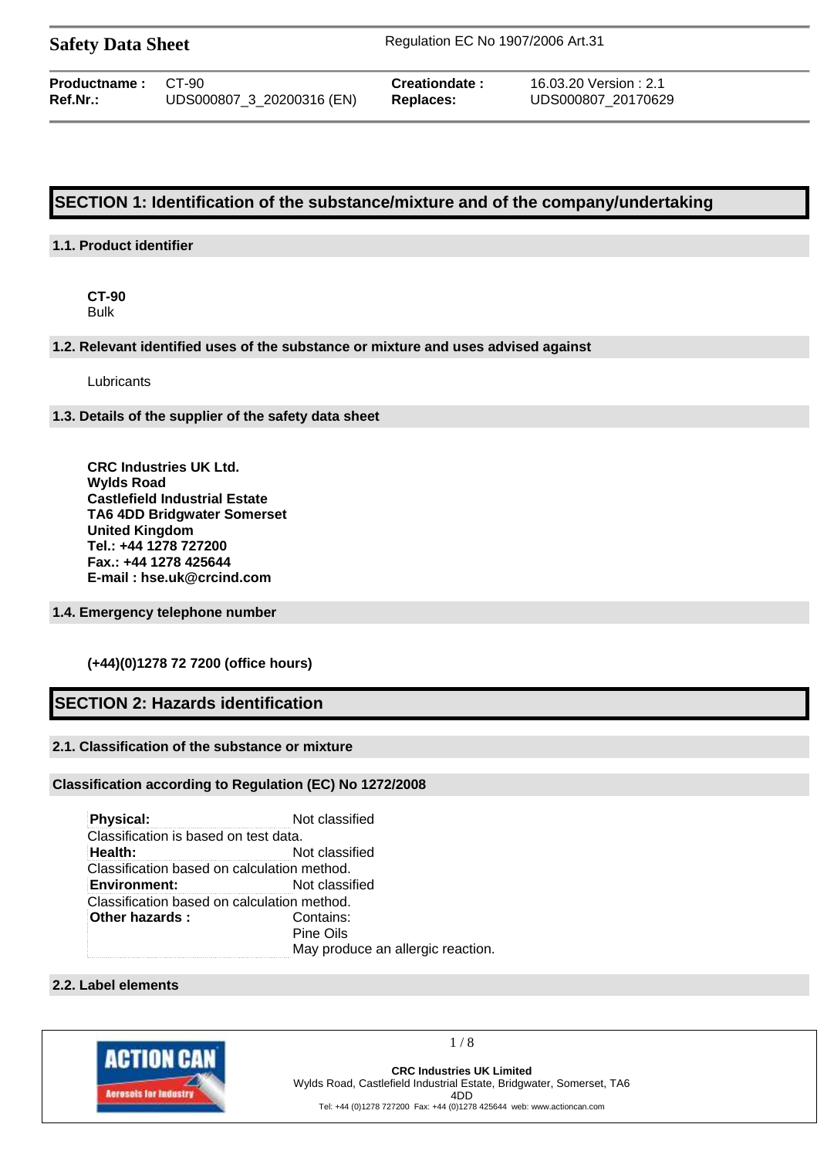| <b>Safety Data Sheet</b> |  |
|--------------------------|--|
|--------------------------|--|

**Safety Data Sheet** Regulation EC No 1907/2006 Art.31

| <b>Productname: CT-90</b> |                           | Creationdate: | 16.03.20 Version: 2.1 |
|---------------------------|---------------------------|---------------|-----------------------|
| $Ref.Nr.$ :               | UDS000807 3 20200316 (EN) | Replaces:     | UDS000807 20170629    |

# **SECTION 1: Identification of the substance/mixture and of the company/undertaking**

# **1.1. Product identifier**

**CT-90** Bulk

## **1.2. Relevant identified uses of the substance or mixture and uses advised against**

Lubricants

## **1.3. Details of the supplier of the safety data sheet**

**CRC Industries UK Ltd. Wylds Road Castlefield Industrial Estate TA6 4DD Bridgwater Somerset United Kingdom Tel.: +44 1278 727200 Fax.: +44 1278 425644 E-mail : hse.uk@crcind.com**

# **1.4. Emergency telephone number**

# **(+44)(0)1278 72 7200 (office hours)**

# **SECTION 2: Hazards identification**

# **2.1. Classification of the substance or mixture**

## **Classification according to Regulation (EC) No 1272/2008**

**Physical:** Not classified Classification is based on test data. **Health:** Not classified Classification based on calculation method. **Environment:** Not classified Classification based on calculation method. **Other hazards :** Contains: Pine Oils May produce an allergic reaction.

# **2.2. Label elements**



1 / 8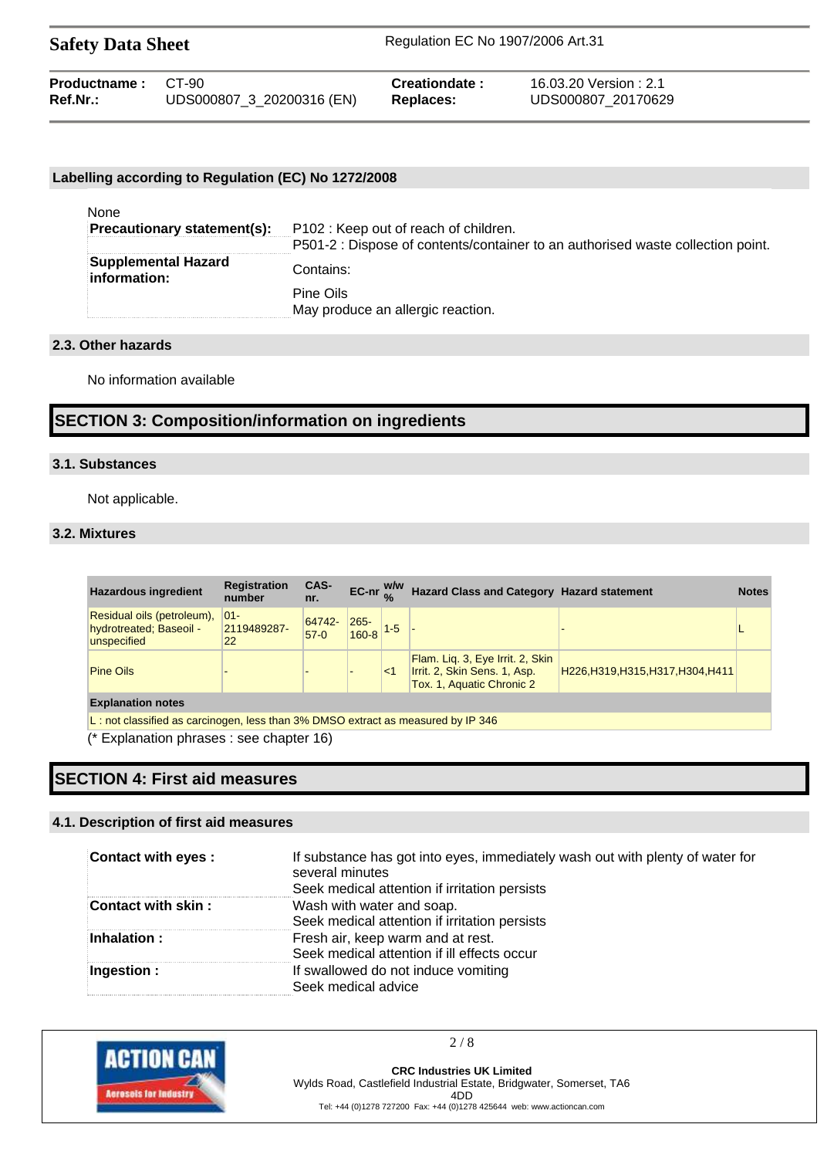| <b>Safety Data Sheet</b> |                           | Regulation EC No 1907/2006 Art.31 |                       |  |
|--------------------------|---------------------------|-----------------------------------|-----------------------|--|
| Productname:             | C.T-90                    | Creationdate:                     | 16.03.20 Version: 2.1 |  |
| Ref.Nr.:                 | UDS000807_3_20200316 (EN) | <b>Replaces:</b>                  | UDS000807 20170629    |  |

## **Labelling according to Regulation (EC) No 1272/2008**

| None                                |                                                                                 |
|-------------------------------------|---------------------------------------------------------------------------------|
| Precautionary statement(s):         | P102: Keep out of reach of children.                                            |
|                                     | P501-2 : Dispose of contents/container to an authorised waste collection point. |
| Supplemental Hazard<br>information: | Contains:                                                                       |
|                                     | Pine Oils                                                                       |
|                                     | May produce an allergic reaction.                                               |

## **2.3. Other hazards**

No information available

# **SECTION 3: Composition/information on ingredients**

## **3.1. Substances**

Not applicable.

# **3.2. Mixtures**

| <b>Registration</b><br>number                                                    | CAS-<br>nr.      |                                                |       |                                                                                               |                                                | <b>Notes</b>                                      |
|----------------------------------------------------------------------------------|------------------|------------------------------------------------|-------|-----------------------------------------------------------------------------------------------|------------------------------------------------|---------------------------------------------------|
| $ 01 -$<br>2119489287-<br>22                                                     | 64742-<br>$57-0$ | $265 -$                                        |       |                                                                                               |                                                |                                                   |
|                                                                                  |                  |                                                | $<$ 1 | Flam. Lig. 3, Eye Irrit. 2, Skin<br>Irrit. 2, Skin Sens. 1, Asp.<br>Tox. 1, Aquatic Chronic 2 | H226, H319, H315, H317, H304, H411             |                                                   |
| <b>Explanation notes</b>                                                         |                  |                                                |       |                                                                                               |                                                |                                                   |
| L: not classified as carcinogen, less than 3% DMSO extract as measured by IP 346 |                  |                                                |       |                                                                                               |                                                |                                                   |
|                                                                                  |                  | $(*)$ Exploration phrases : see chapter $16$ ) |       |                                                                                               | EC-nr $_{0/2}$ <sup>W/W</sup><br>$160-8$ $1-5$ | <b>Hazard Class and Category Hazard statement</b> |

(\* Explanation phrases : see chapter 16)

# **SECTION 4: First aid measures**

# **4.1. Description of first aid measures**

| <b>Contact with eyes:</b> | If substance has got into eyes, immediately wash out with plenty of water for<br>several minutes<br>Seek medical attention if irritation persists |
|---------------------------|---------------------------------------------------------------------------------------------------------------------------------------------------|
| Contact with skin:        | Wash with water and soap.<br>Seek medical attention if irritation persists                                                                        |
| Inhalation:               | Fresh air, keep warm and at rest.<br>Seek medical attention if ill effects occur                                                                  |
| Ingestion:                | If swallowed do not induce vomiting<br>Seek medical advice                                                                                        |



 $2/8$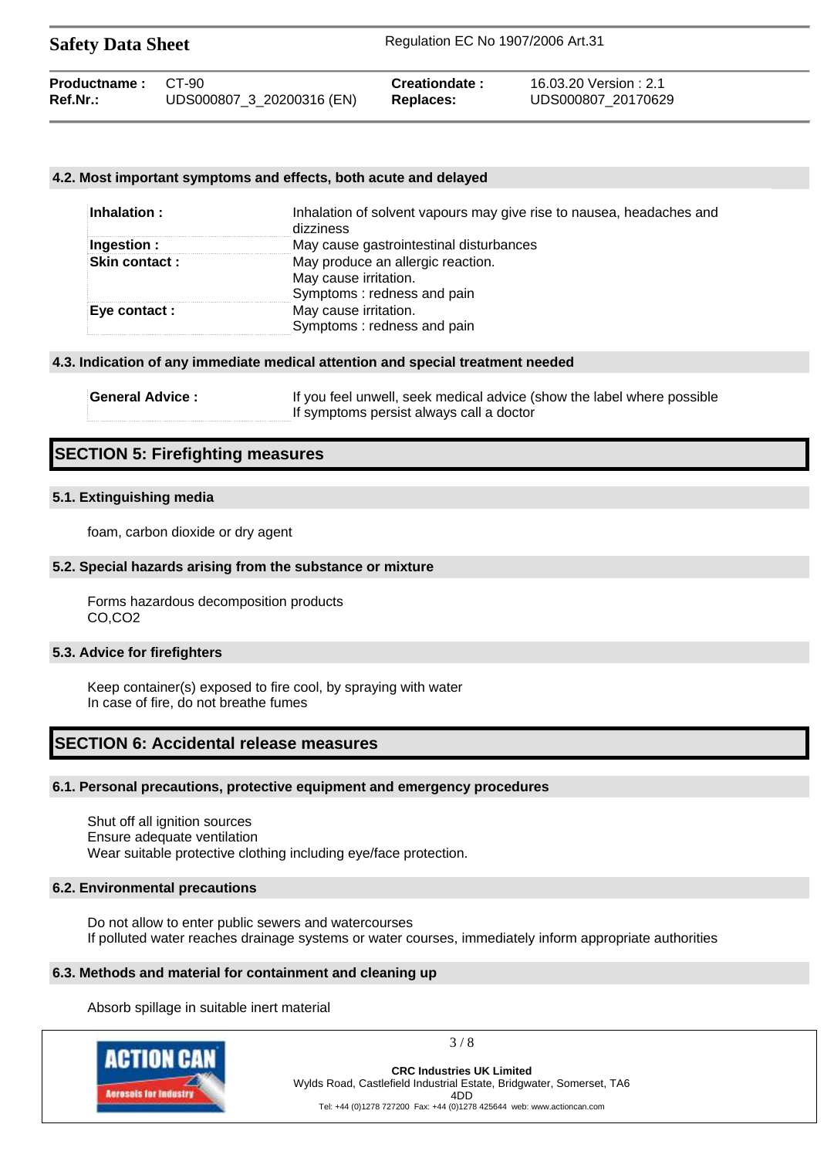| <b>Safety Data Sheet</b> |                           | Regulation EC No 1907/2006 Art.31 |                       |  |
|--------------------------|---------------------------|-----------------------------------|-----------------------|--|
| Productname:             | CT-90                     | <b>Creationdate:</b>              | 16.03.20 Version: 2.1 |  |
| Ref.Nr.:                 | UDS000807_3_20200316 (EN) | <b>Replaces:</b>                  | UDS000807 20170629    |  |

## **4.2. Most important symptoms and effects, both acute and delayed**

| Inhalation :         | Inhalation of solvent vapours may give rise to nausea, headaches and<br>dizziness        |
|----------------------|------------------------------------------------------------------------------------------|
| Ingestion :          | May cause gastrointestinal disturbances                                                  |
| <b>Skin contact:</b> | May produce an allergic reaction.<br>May cause irritation.<br>Symptoms: redness and pain |
| Eye contact :        | May cause irritation.<br>Symptoms: redness and pain                                      |

#### **4.3. Indication of any immediate medical attention and special treatment needed**

| <b>General Advice:</b> | If you feel unwell, seek medical advice (show the label where possible |
|------------------------|------------------------------------------------------------------------|
|                        | If symptoms persist always call a doctor                               |

# **SECTION 5: Firefighting measures**

#### **5.1. Extinguishing media**

foam, carbon dioxide or dry agent

#### **5.2. Special hazards arising from the substance or mixture**

Forms hazardous decomposition products CO,CO2

#### **5.3. Advice for firefighters**

Keep container(s) exposed to fire cool, by spraying with water In case of fire, do not breathe fumes

# **SECTION 6: Accidental release measures**

#### **6.1. Personal precautions, protective equipment and emergency procedures**

Shut off all ignition sources Ensure adequate ventilation Wear suitable protective clothing including eye/face protection.

## **6.2. Environmental precautions**

Do not allow to enter public sewers and watercourses If polluted water reaches drainage systems or water courses, immediately inform appropriate authorities

### **6.3. Methods and material for containment and cleaning up**

Absorb spillage in suitable inert material



 $3/8$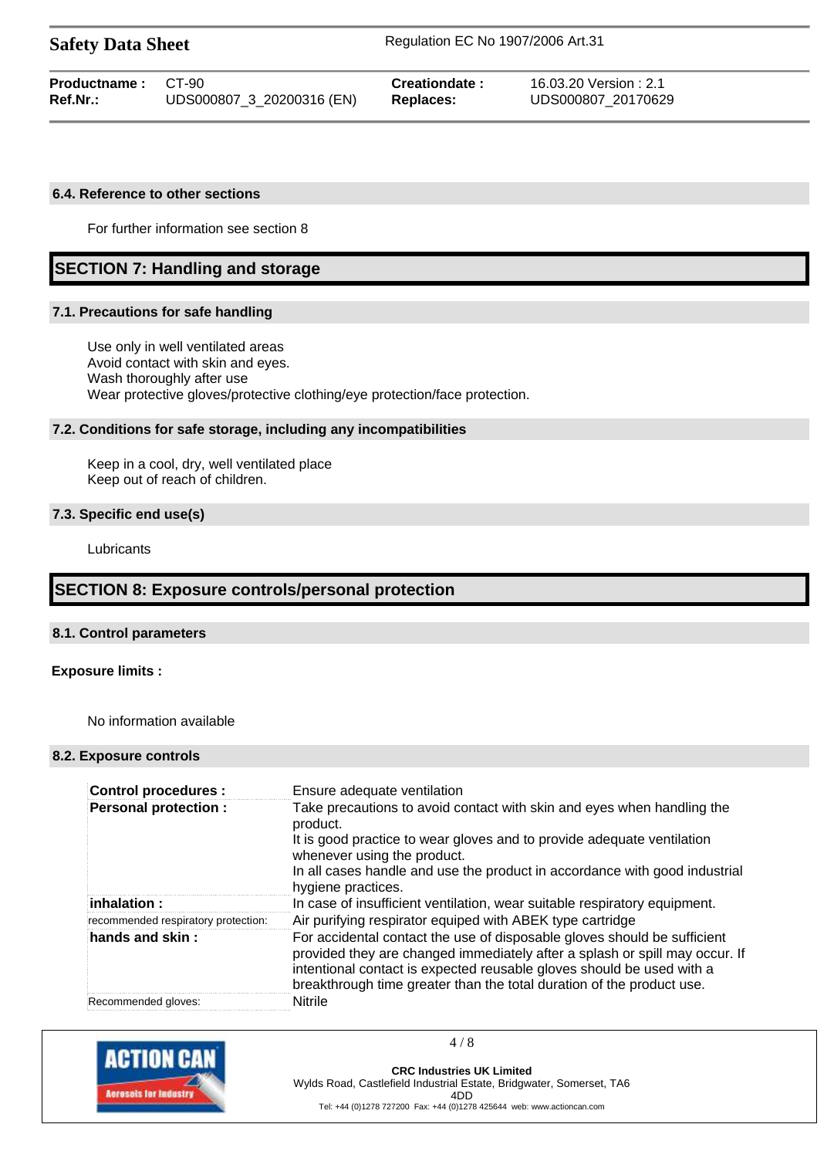| <b>Safety Data Sheet</b>  | Regulation EC No 1907/2006 Art.31             |
|---------------------------|-----------------------------------------------|
| <b>Productname:</b> CT-90 | 16.03.20 Version: 2.1<br><b>Creationdate:</b> |

**Ref.Nr.:** UDS000807\_3\_20200316 (EN) **Replaces:** UDS000807\_20170629

#### **6.4. Reference to other sections**

For further information see section 8

# **SECTION 7: Handling and storage**

#### **7.1. Precautions for safe handling**

Use only in well ventilated areas Avoid contact with skin and eyes. Wash thoroughly after use Wear protective gloves/protective clothing/eye protection/face protection.

## **7.2. Conditions for safe storage, including any incompatibilities**

Keep in a cool, dry, well ventilated place Keep out of reach of children.

# **7.3. Specific end use(s)**

Lubricants

# **SECTION 8: Exposure controls/personal protection**

#### **8.1. Control parameters**

## **Exposure limits :**

No information available

## **8.2. Exposure controls**

| <b>Control procedures:</b>          | Ensure adequate ventilation                                                                                                                                                                                                                                                                               |
|-------------------------------------|-----------------------------------------------------------------------------------------------------------------------------------------------------------------------------------------------------------------------------------------------------------------------------------------------------------|
| <b>Personal protection:</b>         | Take precautions to avoid contact with skin and eyes when handling the<br>product.                                                                                                                                                                                                                        |
|                                     | It is good practice to wear gloves and to provide adequate ventilation<br>whenever using the product.                                                                                                                                                                                                     |
|                                     | In all cases handle and use the product in accordance with good industrial<br>hygiene practices.                                                                                                                                                                                                          |
| $i$ nhalation :                     | In case of insufficient ventilation, wear suitable respiratory equipment.                                                                                                                                                                                                                                 |
| recommended respiratory protection: | Air purifying respirator equiped with ABEK type cartridge                                                                                                                                                                                                                                                 |
| hands and skin:                     | For accidental contact the use of disposable gloves should be sufficient<br>provided they are changed immediately after a splash or spill may occur. If<br>intentional contact is expected reusable gloves should be used with a<br>breakthrough time greater than the total duration of the product use. |
| Recommended gloves:                 | <b>Nitrile</b>                                                                                                                                                                                                                                                                                            |



 $4/8$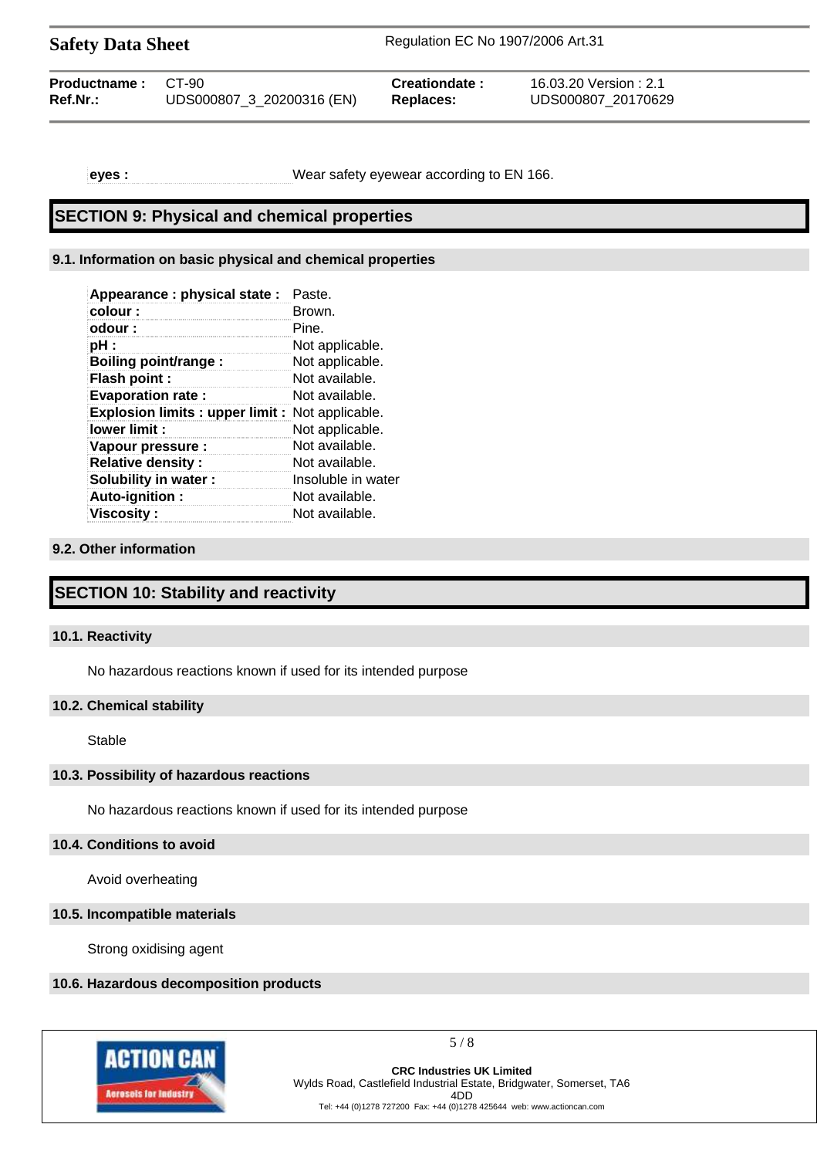Safety Data Sheet Regulation EC No 1907/2006 Art.31

| <b>Productname: CT-90</b> | UDS000807_3_20200316 (EN) | Creationdate:    | 16.03.20 Version : 2.1 |
|---------------------------|---------------------------|------------------|------------------------|
| Ref.Nr.:                  |                           | <b>Replaces:</b> | UDS000807 20170629     |
|                           |                           |                  |                        |

**eyes :** Wear safety eyewear according to EN 166.

# **SECTION 9: Physical and chemical properties**

# **9.1. Information on basic physical and chemical properties**

| Appearance : physical state :                         | Paste.             |
|-------------------------------------------------------|--------------------|
| colour :                                              | Brown.             |
| odour :                                               | Pine.              |
| pH :                                                  | Not applicable.    |
| <b>Boiling point/range:</b>                           | Not applicable.    |
| Flash point:                                          | Not available.     |
| <b>Evaporation rate:</b>                              | Not available.     |
| <b>Explosion limits: upper limit:</b> Not applicable. |                    |
| lower limit:                                          | Not applicable.    |
| Vapour pressure :                                     | Not available.     |
| <b>Relative density:</b>                              | Not available.     |
| Solubility in water:                                  | Insoluble in water |
| Auto-ignition:                                        | Not available.     |
| <b>Viscositv :</b>                                    | Not available.     |

# **9.2. Other information**

# **SECTION 10: Stability and reactivity**

# **10.1. Reactivity**

No hazardous reactions known if used for its intended purpose

# **10.2. Chemical stability**

Stable

## **10.3. Possibility of hazardous reactions**

No hazardous reactions known if used for its intended purpose

## **10.4. Conditions to avoid**

Avoid overheating

## **10.5. Incompatible materials**

Strong oxidising agent

# **10.6. Hazardous decomposition products**



5 / 8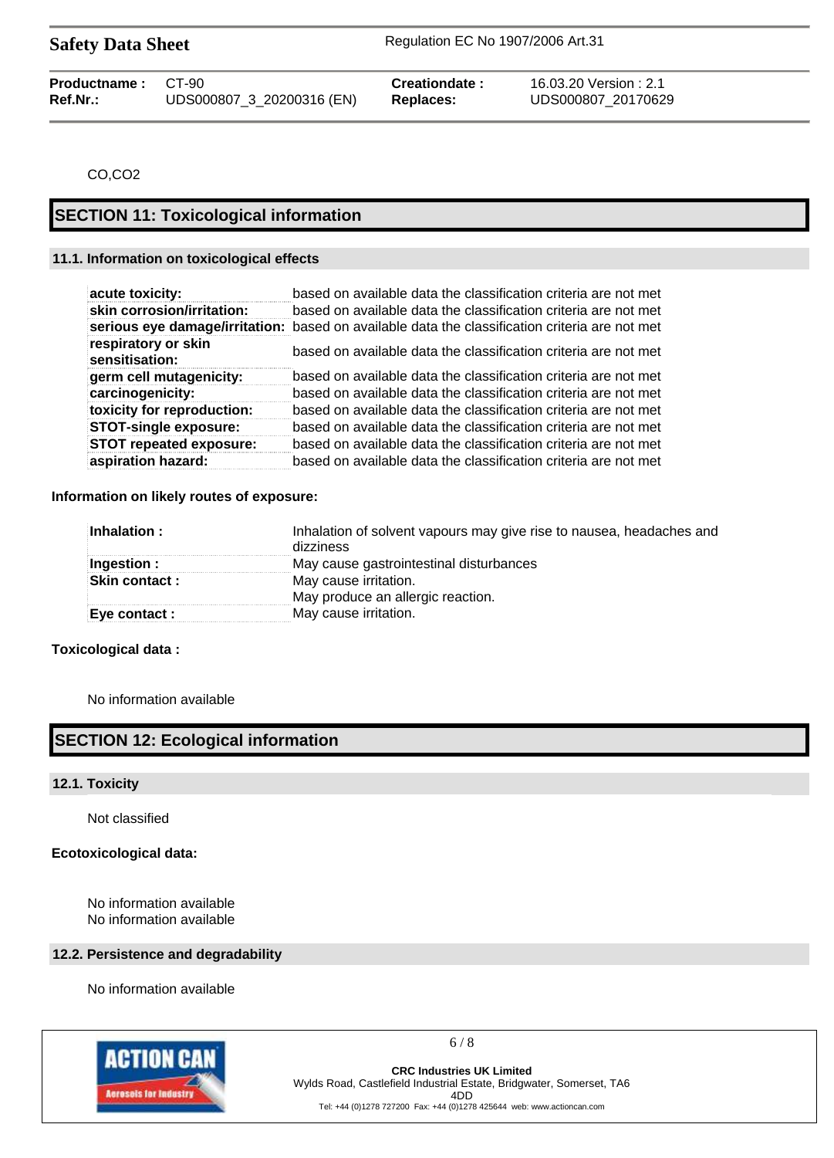Safety Data Sheet Regulation EC No 1907/2006 Art.31

| <b>Productname: CT-90</b> |                           | Creationdate: | 16.03.20 Version : 2.1 |
|---------------------------|---------------------------|---------------|------------------------|
| Ref.Nr.:                  | UDS000807 3 20200316 (EN) | Replaces:     | UDS000807 20170629     |

CO,CO2

# **SECTION 11: Toxicological information**

## **11.1. Information on toxicological effects**

| acute toxicity:                       | based on available data the classification criteria are not met                                |
|---------------------------------------|------------------------------------------------------------------------------------------------|
| skin corrosion/irritation:            | based on available data the classification criteria are not met                                |
|                                       | serious eye damage/irritation: based on available data the classification criteria are not met |
| respiratory or skin<br>sensitisation: | based on available data the classification criteria are not met                                |
| germ cell mutagenicity:               | based on available data the classification criteria are not met                                |
| carcinogenicity:                      | based on available data the classification criteria are not met                                |
| toxicity for reproduction:            | based on available data the classification criteria are not met                                |
| <b>STOT-single exposure:</b>          | based on available data the classification criteria are not met                                |
| <b>STOT repeated exposure:</b>        | based on available data the classification criteria are not met                                |
| aspiration hazard:                    | based on available data the classification criteria are not met                                |

**Information on likely routes of exposure:**

| $\blacksquare$ Inhalation :                            | Inhalation of solvent vapours may give rise to nausea, headaches and<br>dizziness |
|--------------------------------------------------------|-----------------------------------------------------------------------------------|
| Ingestion :<br>May cause gastrointestinal disturbances |                                                                                   |
| <b>Skin contact :</b>                                  | May cause irritation.                                                             |
|                                                        | May produce an allergic reaction.                                                 |
| $\mathsf{Eve}$ contact :                               | May cause irritation.                                                             |

# **Toxicological data :**

No information available

# **SECTION 12: Ecological information**

## **12.1. Toxicity**

Not classified

## **Ecotoxicological data:**

No information available No information available

# **12.2. Persistence and degradability**

No information available



6 / 8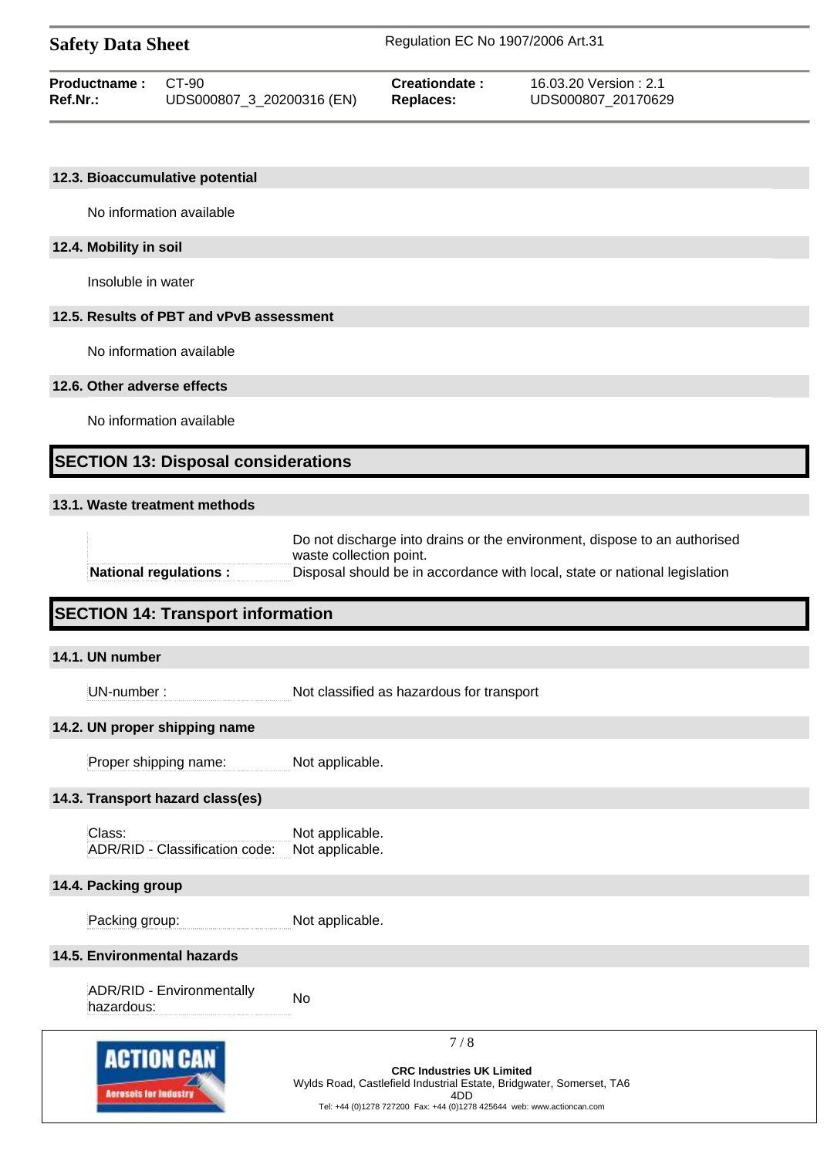| <b>Safety Data Sheet</b> |                           | Regulation EC No 1907/2006 Art.31 |                       |  |
|--------------------------|---------------------------|-----------------------------------|-----------------------|--|
| Productname:             | C.T-90                    | Creationdate:                     | 16.03.20 Version: 2.1 |  |
| <b>Ref.Nr.:</b>          | UDS000807_3_20200316 (EN) | Replaces:                         | UDS000807 20170629    |  |

## **12.3. Bioaccumulative potential**

No information available

## **12.4. Mobility in soil**

Insoluble in water

## **12.5. Results of PBT and vPvB assessment**

No information available

## **12.6. Other adverse effects**

No information available

# **SECTION 13: Disposal considerations**

# **13.1. Waste treatment methods**

|                        | Do not discharge into drains or the environment, dispose to an authorised  |  |
|------------------------|----------------------------------------------------------------------------|--|
|                        | waste collection point.                                                    |  |
| National regulations : | Disposal should be in accordance with local, state or national legislation |  |

# **SECTION 14: Transport information**

| 14.1. UN number                                   |                                                                                                                                                                                                              |  |
|---------------------------------------------------|--------------------------------------------------------------------------------------------------------------------------------------------------------------------------------------------------------------|--|
| UN-number:                                        | Not classified as hazardous for transport                                                                                                                                                                    |  |
| 14.2. UN proper shipping name                     |                                                                                                                                                                                                              |  |
| Proper shipping name:                             | Not applicable.                                                                                                                                                                                              |  |
| 14.3. Transport hazard class(es)                  |                                                                                                                                                                                                              |  |
| Class:<br>ADR/RID - Classification code:          | Not applicable.<br>Not applicable.                                                                                                                                                                           |  |
| 14.4. Packing group                               |                                                                                                                                                                                                              |  |
| Packing group:                                    | Not applicable.                                                                                                                                                                                              |  |
| 14.5. Environmental hazards                       |                                                                                                                                                                                                              |  |
| ADR/RID - Environmentally<br>hazardous:           | <b>No</b>                                                                                                                                                                                                    |  |
| <b>ACTION CAN</b><br><b>Acresols for Industry</b> | 7/8<br><b>CRC Industries UK Limited</b><br>Wylds Road, Castlefield Industrial Estate, Bridgwater, Somerset, TA6<br>4D <sub>D</sub><br>Tel: +44 (0)1278 727200 Fax: +44 (0)1278 425644 web: www.actioncan.com |  |